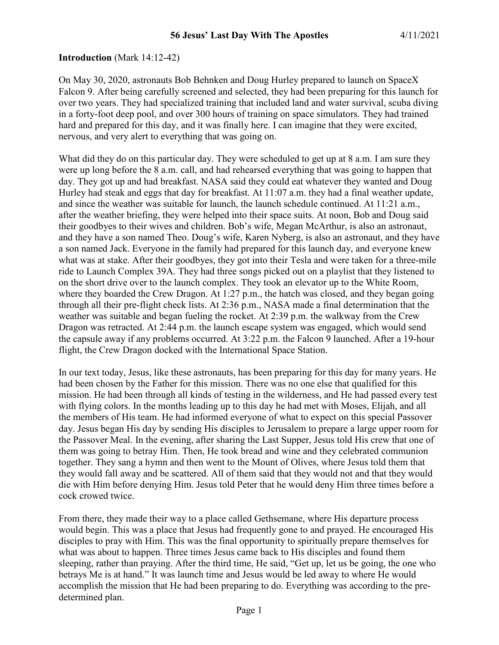#### **Introduction** (Mark 14:12-42)

On May 30, 2020, astronauts Bob Behnken and Doug Hurley prepared to launch on SpaceX Falcon 9. After being carefully screened and selected, they had been preparing for this launch for over two years. They had specialized training that included land and water survival, scuba diving in a forty-foot deep pool, and over 300 hours of training on space simulators. They had trained hard and prepared for this day, and it was finally here. I can imagine that they were excited, nervous, and very alert to everything that was going on.

What did they do on this particular day. They were scheduled to get up at 8 a.m. I am sure they were up long before the 8 a.m. call, and had rehearsed everything that was going to happen that day. They got up and had breakfast. NASA said they could eat whatever they wanted and Doug Hurley had steak and eggs that day for breakfast. At 11:07 a.m. they had a final weather update, and since the weather was suitable for launch, the launch schedule continued. At 11:21 a.m., after the weather briefing, they were helped into their space suits. At noon, Bob and Doug said their goodbyes to their wives and children. Bob's wife, Megan McArthur, is also an astronaut, and they have a son named Theo. Doug's wife, Karen Nyberg, is also an astronaut, and they have a son named Jack. Everyone in the family had prepared for this launch day, and everyone knew what was at stake. After their goodbyes, they got into their Tesla and were taken for a three-mile ride to Launch Complex 39A. They had three songs picked out on a playlist that they listened to on the short drive over to the launch complex. They took an elevator up to the White Room, where they boarded the Crew Dragon. At 1:27 p.m., the hatch was closed, and they began going through all their pre-flight check lists. At 2:36 p.m., NASA made a final determination that the weather was suitable and began fueling the rocket. At 2:39 p.m. the walkway from the Crew Dragon was retracted. At 2:44 p.m. the launch escape system was engaged, which would send the capsule away if any problems occurred. At 3:22 p.m. the Falcon 9 launched. After a 19-hour flight, the Crew Dragon docked with the International Space Station.

In our text today, Jesus, like these astronauts, has been preparing for this day for many years. He had been chosen by the Father for this mission. There was no one else that qualified for this mission. He had been through all kinds of testing in the wilderness, and He had passed every test with flying colors. In the months leading up to this day he had met with Moses, Elijah, and all the members of His team. He had informed everyone of what to expect on this special Passover day. Jesus began His day by sending His disciples to Jerusalem to prepare a large upper room for the Passover Meal. In the evening, after sharing the Last Supper, Jesus told His crew that one of them was going to betray Him. Then, He took bread and wine and they celebrated communion together. They sang a hymn and then went to the Mount of Olives, where Jesus told them that they would fall away and be scattered. All of them said that they would not and that they would die with Him before denying Him. Jesus told Peter that he would deny Him three times before a cock crowed twice.

From there, they made their way to a place called Gethsemane, where His departure process would begin. This was a place that Jesus had frequently gone to and prayed. He encouraged His disciples to pray with Him. This was the final opportunity to spiritually prepare themselves for what was about to happen. Three times Jesus came back to His disciples and found them sleeping, rather than praying. After the third time, He said, "Get up, let us be going, the one who betrays Me is at hand." It was launch time and Jesus would be led away to where He would accomplish the mission that He had been preparing to do. Everything was according to the predetermined plan.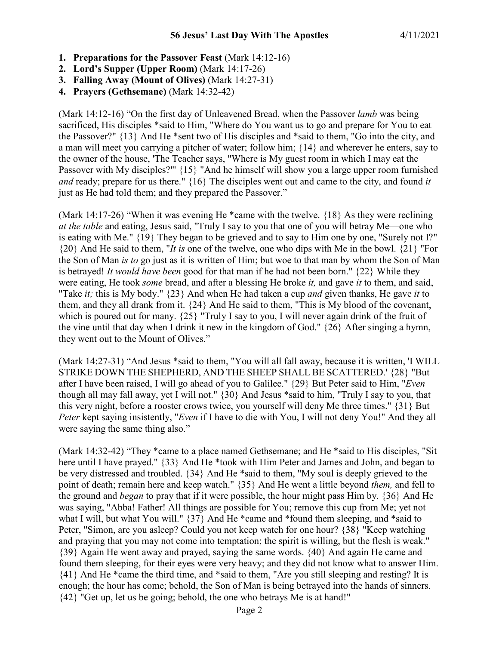- **1. Preparations for the Passover Feast** (Mark 14:12-16)
- **2. Lord's Supper (Upper Room)** (Mark 14:17-26)
- **3. Falling Away (Mount of Olives)** (Mark 14:27-31)
- **4. Prayers (Gethsemane)** (Mark 14:32-42)

(Mark 14:12-16) "On the first day of Unleavened Bread, when the Passover *lamb* was being sacrificed, His disciples \*said to Him, "Where do You want us to go and prepare for You to eat the Passover?" {13} And He \*sent two of His disciples and \*said to them, "Go into the city, and a man will meet you carrying a pitcher of water; follow him; {14} and wherever he enters, say to the owner of the house, 'The Teacher says, "Where is My guest room in which I may eat the Passover with My disciples?"' {15} "And he himself will show you a large upper room furnished *and* ready; prepare for us there." {16} The disciples went out and came to the city, and found *it* just as He had told them; and they prepared the Passover."

(Mark 14:17-26) "When it was evening He \*came with the twelve. {18} As they were reclining *at the table* and eating, Jesus said, "Truly I say to you that one of you will betray Me—one who is eating with Me." {19} They began to be grieved and to say to Him one by one, "Surely not I?" {20} And He said to them, "*It is* one of the twelve, one who dips with Me in the bowl. {21} "For the Son of Man *is to* go just as it is written of Him; but woe to that man by whom the Son of Man is betrayed! *It would have been* good for that man if he had not been born." {22} While they were eating, He took *some* bread, and after a blessing He broke *it,* and gave *it* to them, and said, "Take *it;* this is My body." {23} And when He had taken a cup *and* given thanks, He gave *it* to them, and they all drank from it. {24} And He said to them, "This is My blood of the covenant, which is poured out for many.  $\{25\}$  "Truly I say to you, I will never again drink of the fruit of the vine until that day when I drink it new in the kingdom of God." {26} After singing a hymn, they went out to the Mount of Olives."

(Mark 14:27-31) "And Jesus \*said to them, "You will all fall away, because it is written, 'I WILL STRIKE DOWN THE SHEPHERD, AND THE SHEEP SHALL BE SCATTERED.' {28} "But after I have been raised, I will go ahead of you to Galilee." {29} But Peter said to Him, "*Even* though all may fall away, yet I will not." {30} And Jesus \*said to him, "Truly I say to you, that this very night, before a rooster crows twice, you yourself will deny Me three times." {31} But *Peter* kept saying insistently, "*Even* if I have to die with You, I will not deny You!" And they all were saying the same thing also."

(Mark 14:32-42) "They \*came to a place named Gethsemane; and He \*said to His disciples, "Sit here until I have prayed." {33} And He \*took with Him Peter and James and John, and began to be very distressed and troubled. {34} And He \*said to them, "My soul is deeply grieved to the point of death; remain here and keep watch." {35} And He went a little beyond *them,* and fell to the ground and *began* to pray that if it were possible, the hour might pass Him by. {36} And He was saying, "Abba! Father! All things are possible for You; remove this cup from Me; yet not what I will, but what You will." {37} And He \*came and \*found them sleeping, and \*said to Peter, "Simon, are you asleep? Could you not keep watch for one hour? {38} "Keep watching and praying that you may not come into temptation; the spirit is willing, but the flesh is weak." {39} Again He went away and prayed, saying the same words. {40} And again He came and found them sleeping, for their eyes were very heavy; and they did not know what to answer Him. {41} And He \*came the third time, and \*said to them, "Are you still sleeping and resting? It is enough; the hour has come; behold, the Son of Man is being betrayed into the hands of sinners. {42} "Get up, let us be going; behold, the one who betrays Me is at hand!"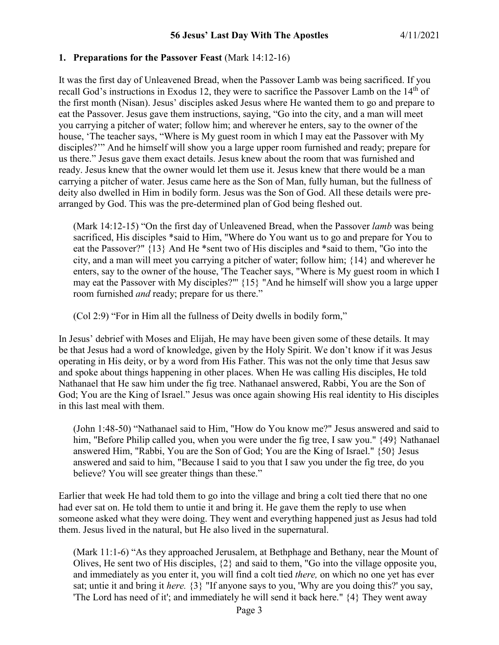### **1. Preparations for the Passover Feast** (Mark 14:12-16)

It was the first day of Unleavened Bread, when the Passover Lamb was being sacrificed. If you recall God's instructions in Exodus 12, they were to sacrifice the Passover Lamb on the 14<sup>th</sup> of the first month (Nisan). Jesus' disciples asked Jesus where He wanted them to go and prepare to eat the Passover. Jesus gave them instructions, saying, "Go into the city, and a man will meet you carrying a pitcher of water; follow him; and wherever he enters, say to the owner of the house, 'The teacher says, "Where is My guest room in which I may eat the Passover with My disciples?'" And he himself will show you a large upper room furnished and ready; prepare for us there." Jesus gave them exact details. Jesus knew about the room that was furnished and ready. Jesus knew that the owner would let them use it. Jesus knew that there would be a man carrying a pitcher of water. Jesus came here as the Son of Man, fully human, but the fullness of deity also dwelled in Him in bodily form. Jesus was the Son of God. All these details were prearranged by God. This was the pre-determined plan of God being fleshed out.

(Mark 14:12-15) "On the first day of Unleavened Bread, when the Passover *lamb* was being sacrificed, His disciples \*said to Him, "Where do You want us to go and prepare for You to eat the Passover?" {13} And He \*sent two of His disciples and \*said to them, "Go into the city, and a man will meet you carrying a pitcher of water; follow him; {14} and wherever he enters, say to the owner of the house, 'The Teacher says, "Where is My guest room in which I may eat the Passover with My disciples?"' {15} "And he himself will show you a large upper room furnished *and* ready; prepare for us there."

(Col 2:9) "For in Him all the fullness of Deity dwells in bodily form,"

In Jesus' debrief with Moses and Elijah, He may have been given some of these details. It may be that Jesus had a word of knowledge, given by the Holy Spirit. We don't know if it was Jesus operating in His deity, or by a word from His Father. This was not the only time that Jesus saw and spoke about things happening in other places. When He was calling His disciples, He told Nathanael that He saw him under the fig tree. Nathanael answered, Rabbi, You are the Son of God; You are the King of Israel." Jesus was once again showing His real identity to His disciples in this last meal with them.

(John 1:48-50) "Nathanael said to Him, "How do You know me?" Jesus answered and said to him, "Before Philip called you, when you were under the fig tree, I saw you." {49} Nathanael answered Him, "Rabbi, You are the Son of God; You are the King of Israel." {50} Jesus answered and said to him, "Because I said to you that I saw you under the fig tree, do you believe? You will see greater things than these."

Earlier that week He had told them to go into the village and bring a colt tied there that no one had ever sat on. He told them to untie it and bring it. He gave them the reply to use when someone asked what they were doing. They went and everything happened just as Jesus had told them. Jesus lived in the natural, but He also lived in the supernatural.

(Mark 11:1-6) "As they approached Jerusalem, at Bethphage and Bethany, near the Mount of Olives, He sent two of His disciples, {2} and said to them, "Go into the village opposite you, and immediately as you enter it, you will find a colt tied *there,* on which no one yet has ever sat; untie it and bring it *here.* {3} "If anyone says to you, 'Why are you doing this?' you say, 'The Lord has need of it'; and immediately he will send it back here." {4} They went away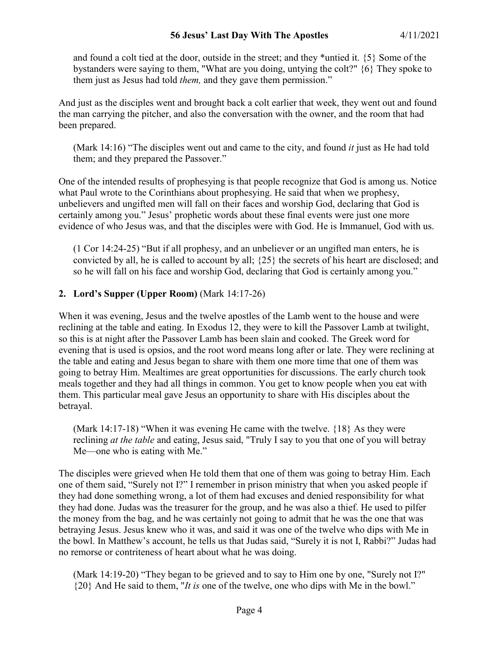### **56 Jesus' Last Day With The Apostles** 4/11/2021

and found a colt tied at the door, outside in the street; and they \*untied it. {5} Some of the bystanders were saying to them, "What are you doing, untying the colt?" {6} They spoke to them just as Jesus had told *them,* and they gave them permission."

And just as the disciples went and brought back a colt earlier that week, they went out and found the man carrying the pitcher, and also the conversation with the owner, and the room that had been prepared.

(Mark 14:16) "The disciples went out and came to the city, and found *it* just as He had told them; and they prepared the Passover."

One of the intended results of prophesying is that people recognize that God is among us. Notice what Paul wrote to the Corinthians about prophesying. He said that when we prophesy, unbelievers and ungifted men will fall on their faces and worship God, declaring that God is certainly among you." Jesus' prophetic words about these final events were just one more evidence of who Jesus was, and that the disciples were with God. He is Immanuel, God with us.

(1 Cor 14:24-25) "But if all prophesy, and an unbeliever or an ungifted man enters, he is convicted by all, he is called to account by all; {25} the secrets of his heart are disclosed; and so he will fall on his face and worship God, declaring that God is certainly among you."

### **2. Lord's Supper (Upper Room)** (Mark 14:17-26)

When it was evening, Jesus and the twelve apostles of the Lamb went to the house and were reclining at the table and eating. In Exodus 12, they were to kill the Passover Lamb at twilight, so this is at night after the Passover Lamb has been slain and cooked. The Greek word for evening that is used is opsios, and the root word means long after or late. They were reclining at the table and eating and Jesus began to share with them one more time that one of them was going to betray Him. Mealtimes are great opportunities for discussions. The early church took meals together and they had all things in common. You get to know people when you eat with them. This particular meal gave Jesus an opportunity to share with His disciples about the betrayal.

(Mark 14:17-18) "When it was evening He came with the twelve.  $\{18\}$  As they were reclining *at the table* and eating, Jesus said, "Truly I say to you that one of you will betray Me—one who is eating with Me."

The disciples were grieved when He told them that one of them was going to betray Him. Each one of them said, "Surely not I?" I remember in prison ministry that when you asked people if they had done something wrong, a lot of them had excuses and denied responsibility for what they had done. Judas was the treasurer for the group, and he was also a thief. He used to pilfer the money from the bag, and he was certainly not going to admit that he was the one that was betraying Jesus. Jesus knew who it was, and said it was one of the twelve who dips with Me in the bowl. In Matthew's account, he tells us that Judas said, "Surely it is not I, Rabbi?" Judas had no remorse or contriteness of heart about what he was doing.

(Mark 14:19-20) "They began to be grieved and to say to Him one by one, "Surely not I?" {20} And He said to them, "*It is* one of the twelve, one who dips with Me in the bowl."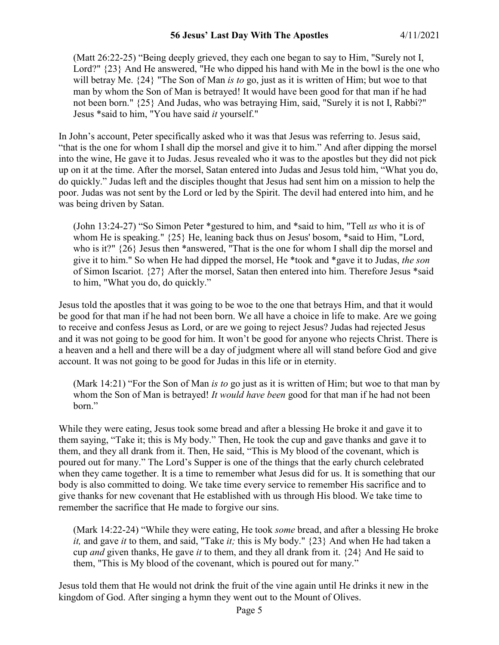### **56 Jesus' Last Day With The Apostles** 4/11/2021

(Matt 26:22-25) "Being deeply grieved, they each one began to say to Him, "Surely not I, Lord?"  $\{23\}$  And He answered, "He who dipped his hand with Me in the bowl is the one who will betray Me. {24} "The Son of Man *is to* go, just as it is written of Him; but woe to that man by whom the Son of Man is betrayed! It would have been good for that man if he had not been born." {25} And Judas, who was betraying Him, said, "Surely it is not I, Rabbi?" Jesus \*said to him, "You have said *it* yourself."

In John's account, Peter specifically asked who it was that Jesus was referring to. Jesus said, "that is the one for whom I shall dip the morsel and give it to him." And after dipping the morsel into the wine, He gave it to Judas. Jesus revealed who it was to the apostles but they did not pick up on it at the time. After the morsel, Satan entered into Judas and Jesus told him, "What you do, do quickly." Judas left and the disciples thought that Jesus had sent him on a mission to help the poor. Judas was not sent by the Lord or led by the Spirit. The devil had entered into him, and he was being driven by Satan.

(John 13:24-27) "So Simon Peter \*gestured to him, and \*said to him, "Tell *us* who it is of whom He is speaking."  $\{25\}$  He, leaning back thus on Jesus' bosom, \*said to Him, "Lord, who is it?"  $\{26\}$  Jesus then \*answered, "That is the one for whom I shall dip the morsel and give it to him." So when He had dipped the morsel, He \*took and \*gave it to Judas, *the son* of Simon Iscariot. {27} After the morsel, Satan then entered into him. Therefore Jesus \*said to him, "What you do, do quickly."

Jesus told the apostles that it was going to be woe to the one that betrays Him, and that it would be good for that man if he had not been born. We all have a choice in life to make. Are we going to receive and confess Jesus as Lord, or are we going to reject Jesus? Judas had rejected Jesus and it was not going to be good for him. It won't be good for anyone who rejects Christ. There is a heaven and a hell and there will be a day of judgment where all will stand before God and give account. It was not going to be good for Judas in this life or in eternity.

(Mark 14:21) "For the Son of Man *is to* go just as it is written of Him; but woe to that man by whom the Son of Man is betrayed! *It would have been* good for that man if he had not been born."

While they were eating, Jesus took some bread and after a blessing He broke it and gave it to them saying, "Take it; this is My body." Then, He took the cup and gave thanks and gave it to them, and they all drank from it. Then, He said, "This is My blood of the covenant, which is poured out for many." The Lord's Supper is one of the things that the early church celebrated when they came together. It is a time to remember what Jesus did for us. It is something that our body is also committed to doing. We take time every service to remember His sacrifice and to give thanks for new covenant that He established with us through His blood. We take time to remember the sacrifice that He made to forgive our sins.

(Mark 14:22-24) "While they were eating, He took *some* bread, and after a blessing He broke *it,* and gave *it* to them, and said, "Take *it;* this is My body." {23} And when He had taken a cup *and* given thanks, He gave *it* to them, and they all drank from it. {24} And He said to them, "This is My blood of the covenant, which is poured out for many."

Jesus told them that He would not drink the fruit of the vine again until He drinks it new in the kingdom of God. After singing a hymn they went out to the Mount of Olives.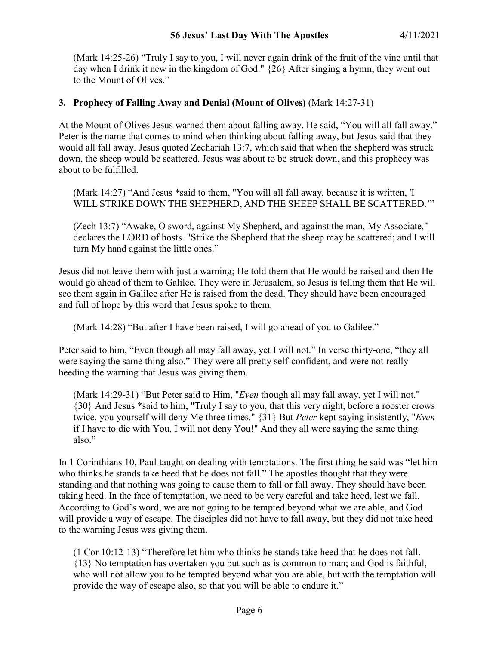(Mark 14:25-26) "Truly I say to you, I will never again drink of the fruit of the vine until that day when I drink it new in the kingdom of God." {26} After singing a hymn, they went out to the Mount of Olives."

# **3. Prophecy of Falling Away and Denial (Mount of Olives)** (Mark 14:27-31)

At the Mount of Olives Jesus warned them about falling away. He said, "You will all fall away." Peter is the name that comes to mind when thinking about falling away, but Jesus said that they would all fall away. Jesus quoted Zechariah 13:7, which said that when the shepherd was struck down, the sheep would be scattered. Jesus was about to be struck down, and this prophecy was about to be fulfilled.

(Mark 14:27) "And Jesus \*said to them, "You will all fall away, because it is written, 'I WILL STRIKE DOWN THE SHEPHERD, AND THE SHEEP SHALL BE SCATTERED.'"

(Zech 13:7) "Awake, O sword, against My Shepherd, and against the man, My Associate," declares the LORD of hosts. "Strike the Shepherd that the sheep may be scattered; and I will turn My hand against the little ones."

Jesus did not leave them with just a warning; He told them that He would be raised and then He would go ahead of them to Galilee. They were in Jerusalem, so Jesus is telling them that He will see them again in Galilee after He is raised from the dead. They should have been encouraged and full of hope by this word that Jesus spoke to them.

(Mark 14:28) "But after I have been raised, I will go ahead of you to Galilee."

Peter said to him, "Even though all may fall away, yet I will not." In verse thirty-one, "they all were saying the same thing also." They were all pretty self-confident, and were not really heeding the warning that Jesus was giving them.

(Mark 14:29-31) "But Peter said to Him, "*Even* though all may fall away, yet I will not." {30} And Jesus \*said to him, "Truly I say to you, that this very night, before a rooster crows twice, you yourself will deny Me three times." {31} But *Peter* kept saying insistently, "*Even* if I have to die with You, I will not deny You!" And they all were saying the same thing also."

In 1 Corinthians 10, Paul taught on dealing with temptations. The first thing he said was "let him who thinks he stands take heed that he does not fall." The apostles thought that they were standing and that nothing was going to cause them to fall or fall away. They should have been taking heed. In the face of temptation, we need to be very careful and take heed, lest we fall. According to God's word, we are not going to be tempted beyond what we are able, and God will provide a way of escape. The disciples did not have to fall away, but they did not take heed to the warning Jesus was giving them.

(1 Cor 10:12-13) "Therefore let him who thinks he stands take heed that he does not fall. {13} No temptation has overtaken you but such as is common to man; and God is faithful, who will not allow you to be tempted beyond what you are able, but with the temptation will provide the way of escape also, so that you will be able to endure it."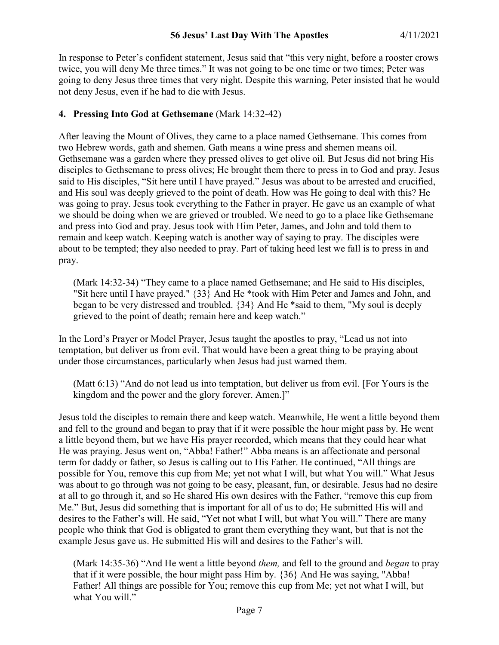In response to Peter's confident statement, Jesus said that "this very night, before a rooster crows twice, you will deny Me three times." It was not going to be one time or two times; Peter was going to deny Jesus three times that very night. Despite this warning, Peter insisted that he would not deny Jesus, even if he had to die with Jesus.

# **4. Pressing Into God at Gethsemane** (Mark 14:32-42)

After leaving the Mount of Olives, they came to a place named Gethsemane. This comes from two Hebrew words, gath and shemen. Gath means a wine press and shemen means oil. Gethsemane was a garden where they pressed olives to get olive oil. But Jesus did not bring His disciples to Gethsemane to press olives; He brought them there to press in to God and pray. Jesus said to His disciples, "Sit here until I have prayed." Jesus was about to be arrested and crucified, and His soul was deeply grieved to the point of death. How was He going to deal with this? He was going to pray. Jesus took everything to the Father in prayer. He gave us an example of what we should be doing when we are grieved or troubled. We need to go to a place like Gethsemane and press into God and pray. Jesus took with Him Peter, James, and John and told them to remain and keep watch. Keeping watch is another way of saying to pray. The disciples were about to be tempted; they also needed to pray. Part of taking heed lest we fall is to press in and pray.

(Mark 14:32-34) "They came to a place named Gethsemane; and He said to His disciples, "Sit here until I have prayed." {33} And He \*took with Him Peter and James and John, and began to be very distressed and troubled. {34} And He \*said to them, "My soul is deeply grieved to the point of death; remain here and keep watch."

In the Lord's Prayer or Model Prayer, Jesus taught the apostles to pray, "Lead us not into temptation, but deliver us from evil. That would have been a great thing to be praying about under those circumstances, particularly when Jesus had just warned them.

(Matt 6:13) "And do not lead us into temptation, but deliver us from evil. [For Yours is the kingdom and the power and the glory forever. Amen.]"

Jesus told the disciples to remain there and keep watch. Meanwhile, He went a little beyond them and fell to the ground and began to pray that if it were possible the hour might pass by. He went a little beyond them, but we have His prayer recorded, which means that they could hear what He was praying. Jesus went on, "Abba! Father!" Abba means is an affectionate and personal term for daddy or father, so Jesus is calling out to His Father. He continued, "All things are possible for You, remove this cup from Me; yet not what I will, but what You will." What Jesus was about to go through was not going to be easy, pleasant, fun, or desirable. Jesus had no desire at all to go through it, and so He shared His own desires with the Father, "remove this cup from Me." But, Jesus did something that is important for all of us to do; He submitted His will and desires to the Father's will. He said, "Yet not what I will, but what You will." There are many people who think that God is obligated to grant them everything they want, but that is not the example Jesus gave us. He submitted His will and desires to the Father's will.

(Mark 14:35-36) "And He went a little beyond *them,* and fell to the ground and *began* to pray that if it were possible, the hour might pass Him by. {36} And He was saying, "Abba! Father! All things are possible for You; remove this cup from Me; yet not what I will, but what You will."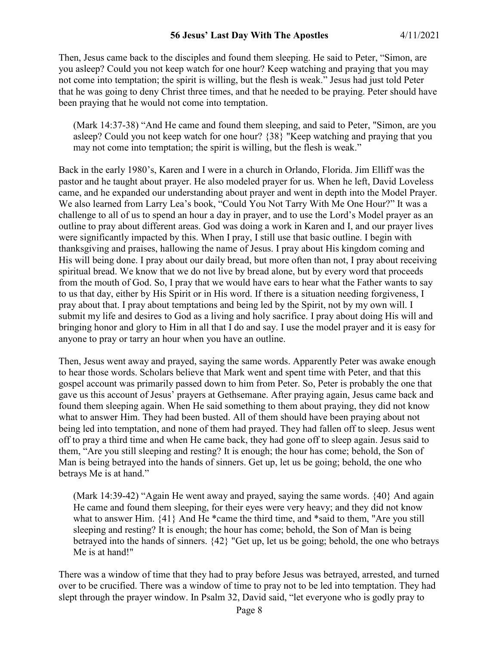Then, Jesus came back to the disciples and found them sleeping. He said to Peter, "Simon, are you asleep? Could you not keep watch for one hour? Keep watching and praying that you may not come into temptation; the spirit is willing, but the flesh is weak." Jesus had just told Peter that he was going to deny Christ three times, and that he needed to be praying. Peter should have been praying that he would not come into temptation.

(Mark 14:37-38) "And He came and found them sleeping, and said to Peter, "Simon, are you asleep? Could you not keep watch for one hour? {38} "Keep watching and praying that you may not come into temptation; the spirit is willing, but the flesh is weak."

Back in the early 1980's, Karen and I were in a church in Orlando, Florida. Jim Elliff was the pastor and he taught about prayer. He also modeled prayer for us. When he left, David Loveless came, and he expanded our understanding about prayer and went in depth into the Model Prayer. We also learned from Larry Lea's book, "Could You Not Tarry With Me One Hour?" It was a challenge to all of us to spend an hour a day in prayer, and to use the Lord's Model prayer as an outline to pray about different areas. God was doing a work in Karen and I, and our prayer lives were significantly impacted by this. When I pray, I still use that basic outline. I begin with thanksgiving and praises, hallowing the name of Jesus. I pray about His kingdom coming and His will being done. I pray about our daily bread, but more often than not, I pray about receiving spiritual bread. We know that we do not live by bread alone, but by every word that proceeds from the mouth of God. So, I pray that we would have ears to hear what the Father wants to say to us that day, either by His Spirit or in His word. If there is a situation needing forgiveness, I pray about that. I pray about temptations and being led by the Spirit, not by my own will. I submit my life and desires to God as a living and holy sacrifice. I pray about doing His will and bringing honor and glory to Him in all that I do and say. I use the model prayer and it is easy for anyone to pray or tarry an hour when you have an outline.

Then, Jesus went away and prayed, saying the same words. Apparently Peter was awake enough to hear those words. Scholars believe that Mark went and spent time with Peter, and that this gospel account was primarily passed down to him from Peter. So, Peter is probably the one that gave us this account of Jesus' prayers at Gethsemane. After praying again, Jesus came back and found them sleeping again. When He said something to them about praying, they did not know what to answer Him. They had been busted. All of them should have been praying about not being led into temptation, and none of them had prayed. They had fallen off to sleep. Jesus went off to pray a third time and when He came back, they had gone off to sleep again. Jesus said to them, "Are you still sleeping and resting? It is enough; the hour has come; behold, the Son of Man is being betrayed into the hands of sinners. Get up, let us be going; behold, the one who betrays Me is at hand."

(Mark 14:39-42) "Again He went away and prayed, saying the same words.  $\{40\}$  And again He came and found them sleeping, for their eyes were very heavy; and they did not know what to answer Him.  $\{41\}$  And He \*came the third time, and \*said to them, "Are you still sleeping and resting? It is enough; the hour has come; behold, the Son of Man is being betrayed into the hands of sinners. {42} "Get up, let us be going; behold, the one who betrays Me is at hand!"

There was a window of time that they had to pray before Jesus was betrayed, arrested, and turned over to be crucified. There was a window of time to pray not to be led into temptation. They had slept through the prayer window. In Psalm 32, David said, "let everyone who is godly pray to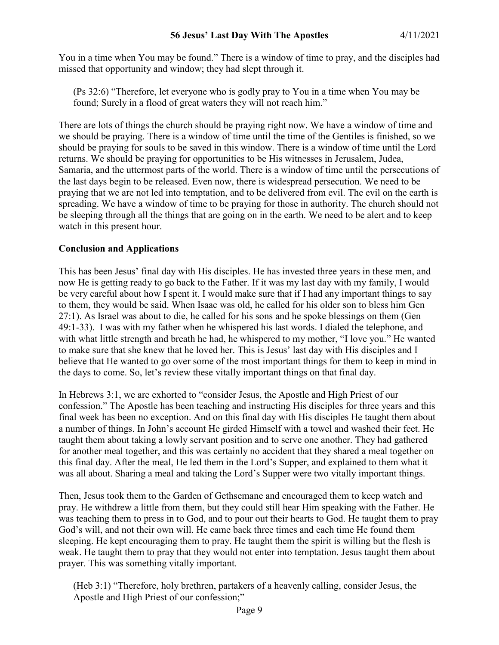You in a time when You may be found." There is a window of time to pray, and the disciples had missed that opportunity and window; they had slept through it.

(Ps 32:6) "Therefore, let everyone who is godly pray to You in a time when You may be found; Surely in a flood of great waters they will not reach him."

There are lots of things the church should be praying right now. We have a window of time and we should be praying. There is a window of time until the time of the Gentiles is finished, so we should be praying for souls to be saved in this window. There is a window of time until the Lord returns. We should be praying for opportunities to be His witnesses in Jerusalem, Judea, Samaria, and the uttermost parts of the world. There is a window of time until the persecutions of the last days begin to be released. Even now, there is widespread persecution. We need to be praying that we are not led into temptation, and to be delivered from evil. The evil on the earth is spreading. We have a window of time to be praying for those in authority. The church should not be sleeping through all the things that are going on in the earth. We need to be alert and to keep watch in this present hour.

# **Conclusion and Applications**

This has been Jesus' final day with His disciples. He has invested three years in these men, and now He is getting ready to go back to the Father. If it was my last day with my family, I would be very careful about how I spent it. I would make sure that if I had any important things to say to them, they would be said. When Isaac was old, he called for his older son to bless him Gen 27:1). As Israel was about to die, he called for his sons and he spoke blessings on them (Gen 49:1-33). I was with my father when he whispered his last words. I dialed the telephone, and with what little strength and breath he had, he whispered to my mother, "I love you." He wanted to make sure that she knew that he loved her. This is Jesus' last day with His disciples and I believe that He wanted to go over some of the most important things for them to keep in mind in the days to come. So, let's review these vitally important things on that final day.

In Hebrews 3:1, we are exhorted to "consider Jesus, the Apostle and High Priest of our confession." The Apostle has been teaching and instructing His disciples for three years and this final week has been no exception. And on this final day with His disciples He taught them about a number of things. In John's account He girded Himself with a towel and washed their feet. He taught them about taking a lowly servant position and to serve one another. They had gathered for another meal together, and this was certainly no accident that they shared a meal together on this final day. After the meal, He led them in the Lord's Supper, and explained to them what it was all about. Sharing a meal and taking the Lord's Supper were two vitally important things.

Then, Jesus took them to the Garden of Gethsemane and encouraged them to keep watch and pray. He withdrew a little from them, but they could still hear Him speaking with the Father. He was teaching them to press in to God, and to pour out their hearts to God. He taught them to pray God's will, and not their own will. He came back three times and each time He found them sleeping. He kept encouraging them to pray. He taught them the spirit is willing but the flesh is weak. He taught them to pray that they would not enter into temptation. Jesus taught them about prayer. This was something vitally important.

(Heb 3:1) "Therefore, holy brethren, partakers of a heavenly calling, consider Jesus, the Apostle and High Priest of our confession;"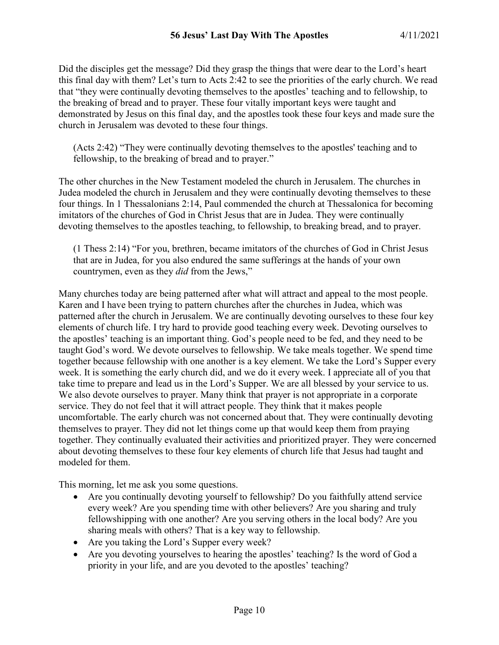Did the disciples get the message? Did they grasp the things that were dear to the Lord's heart this final day with them? Let's turn to Acts 2:42 to see the priorities of the early church. We read that "they were continually devoting themselves to the apostles' teaching and to fellowship, to the breaking of bread and to prayer. These four vitally important keys were taught and demonstrated by Jesus on this final day, and the apostles took these four keys and made sure the church in Jerusalem was devoted to these four things.

(Acts 2:42) "They were continually devoting themselves to the apostles' teaching and to fellowship, to the breaking of bread and to prayer."

The other churches in the New Testament modeled the church in Jerusalem. The churches in Judea modeled the church in Jerusalem and they were continually devoting themselves to these four things. In 1 Thessalonians 2:14, Paul commended the church at Thessalonica for becoming imitators of the churches of God in Christ Jesus that are in Judea. They were continually devoting themselves to the apostles teaching, to fellowship, to breaking bread, and to prayer.

(1 Thess 2:14) "For you, brethren, became imitators of the churches of God in Christ Jesus that are in Judea, for you also endured the same sufferings at the hands of your own countrymen, even as they *did* from the Jews,"

Many churches today are being patterned after what will attract and appeal to the most people. Karen and I have been trying to pattern churches after the churches in Judea, which was patterned after the church in Jerusalem. We are continually devoting ourselves to these four key elements of church life. I try hard to provide good teaching every week. Devoting ourselves to the apostles' teaching is an important thing. God's people need to be fed, and they need to be taught God's word. We devote ourselves to fellowship. We take meals together. We spend time together because fellowship with one another is a key element. We take the Lord's Supper every week. It is something the early church did, and we do it every week. I appreciate all of you that take time to prepare and lead us in the Lord's Supper. We are all blessed by your service to us. We also devote ourselves to prayer. Many think that prayer is not appropriate in a corporate service. They do not feel that it will attract people. They think that it makes people uncomfortable. The early church was not concerned about that. They were continually devoting themselves to prayer. They did not let things come up that would keep them from praying together. They continually evaluated their activities and prioritized prayer. They were concerned about devoting themselves to these four key elements of church life that Jesus had taught and modeled for them.

This morning, let me ask you some questions.

- Are you continually devoting yourself to fellowship? Do you faithfully attend service every week? Are you spending time with other believers? Are you sharing and truly fellowshipping with one another? Are you serving others in the local body? Are you sharing meals with others? That is a key way to fellowship.
- Are you taking the Lord's Supper every week?
- Are you devoting yourselves to hearing the apostles' teaching? Is the word of God a priority in your life, and are you devoted to the apostles' teaching?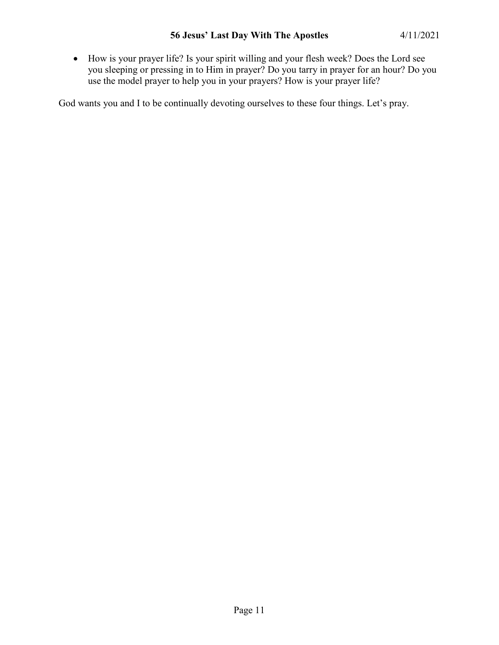• How is your prayer life? Is your spirit willing and your flesh week? Does the Lord see you sleeping or pressing in to Him in prayer? Do you tarry in prayer for an hour? Do you use the model prayer to help you in your prayers? How is your prayer life?

God wants you and I to be continually devoting ourselves to these four things. Let's pray.